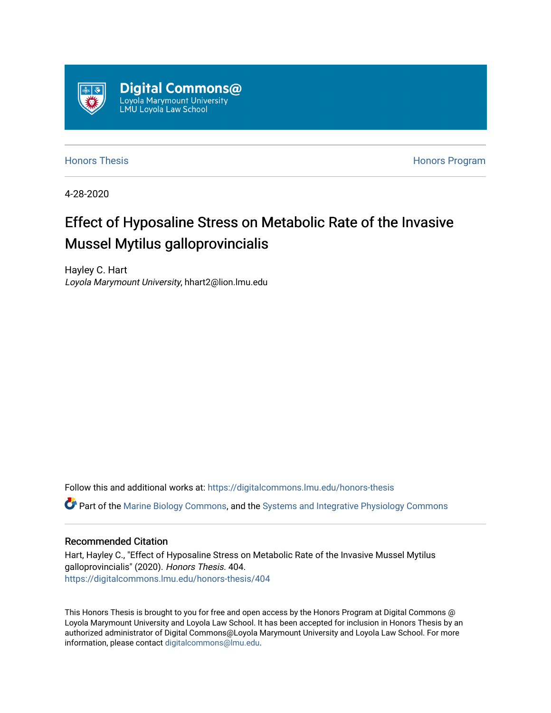

[Honors Thesis](https://digitalcommons.lmu.edu/honors-thesis) [Honors Program](https://digitalcommons.lmu.edu/lmu_honorsprogram) 

4-28-2020

# Effect of Hyposaline Stress on Metabolic Rate of the Invasive Mussel Mytilus galloprovincialis

Hayley C. Hart Loyola Marymount University, hhart2@lion.lmu.edu

Follow this and additional works at: [https://digitalcommons.lmu.edu/honors-thesis](https://digitalcommons.lmu.edu/honors-thesis?utm_source=digitalcommons.lmu.edu%2Fhonors-thesis%2F404&utm_medium=PDF&utm_campaign=PDFCoverPages)

Part of the [Marine Biology Commons,](http://network.bepress.com/hgg/discipline/1126?utm_source=digitalcommons.lmu.edu%2Fhonors-thesis%2F404&utm_medium=PDF&utm_campaign=PDFCoverPages) and the [Systems and Integrative Physiology Commons](http://network.bepress.com/hgg/discipline/74?utm_source=digitalcommons.lmu.edu%2Fhonors-thesis%2F404&utm_medium=PDF&utm_campaign=PDFCoverPages) 

#### Recommended Citation

Hart, Hayley C., "Effect of Hyposaline Stress on Metabolic Rate of the Invasive Mussel Mytilus galloprovincialis" (2020). Honors Thesis. 404. [https://digitalcommons.lmu.edu/honors-thesis/404](https://digitalcommons.lmu.edu/honors-thesis/404?utm_source=digitalcommons.lmu.edu%2Fhonors-thesis%2F404&utm_medium=PDF&utm_campaign=PDFCoverPages) 

This Honors Thesis is brought to you for free and open access by the Honors Program at Digital Commons @ Loyola Marymount University and Loyola Law School. It has been accepted for inclusion in Honors Thesis by an authorized administrator of Digital Commons@Loyola Marymount University and Loyola Law School. For more information, please contact [digitalcommons@lmu.edu.](mailto:digitalcommons@lmu.edu)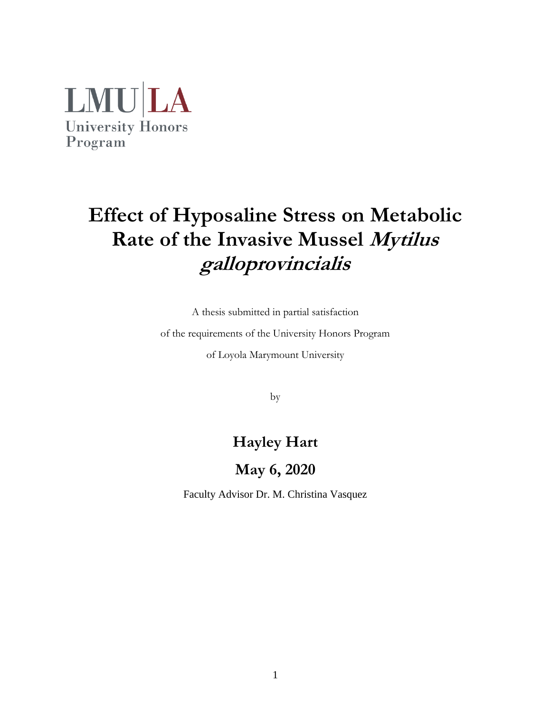

# **Effect of Hyposaline Stress on Metabolic Rate of the Invasive Mussel Mytilus galloprovincialis**

A thesis submitted in partial satisfaction

of the requirements of the University Honors Program

of Loyola Marymount University

by

## **Hayley Hart**

## **May 6, 2020**

Faculty Advisor Dr. M. Christina Vasquez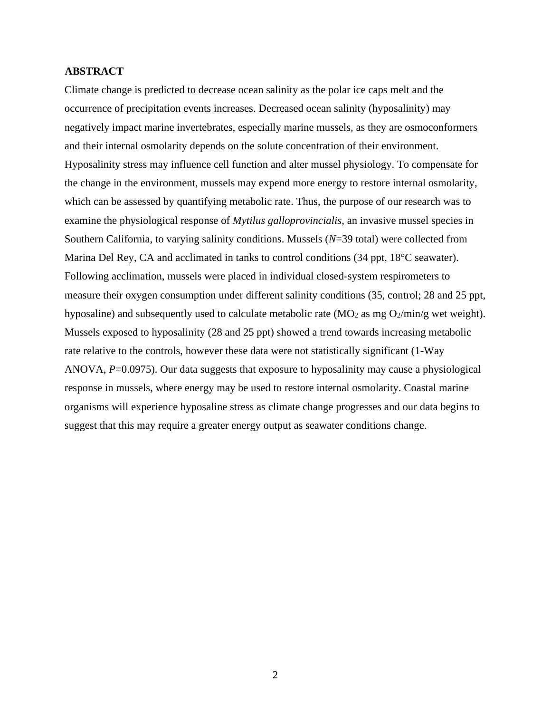#### **ABSTRACT**

Climate change is predicted to decrease ocean salinity as the polar ice caps melt and the occurrence of precipitation events increases. Decreased ocean salinity (hyposalinity) may negatively impact marine invertebrates, especially marine mussels, as they are osmoconformers and their internal osmolarity depends on the solute concentration of their environment. Hyposalinity stress may influence cell function and alter mussel physiology. To compensate for the change in the environment, mussels may expend more energy to restore internal osmolarity, which can be assessed by quantifying metabolic rate. Thus, the purpose of our research was to examine the physiological response of *Mytilus galloprovincialis*, an invasive mussel species in Southern California, to varying salinity conditions. Mussels (*N*=39 total) were collected from Marina Del Rey, CA and acclimated in tanks to control conditions (34 ppt, 18°C seawater). Following acclimation, mussels were placed in individual closed-system respirometers to measure their oxygen consumption under different salinity conditions (35, control; 28 and 25 ppt, hyposaline) and subsequently used to calculate metabolic rate  $(MO<sub>2</sub>$  as mg  $O<sub>2</sub>/min/g$  wet weight). Mussels exposed to hyposalinity (28 and 25 ppt) showed a trend towards increasing metabolic rate relative to the controls, however these data were not statistically significant (1-Way ANOVA, *P*=0.0975). Our data suggests that exposure to hyposalinity may cause a physiological response in mussels, where energy may be used to restore internal osmolarity. Coastal marine organisms will experience hyposaline stress as climate change progresses and our data begins to suggest that this may require a greater energy output as seawater conditions change.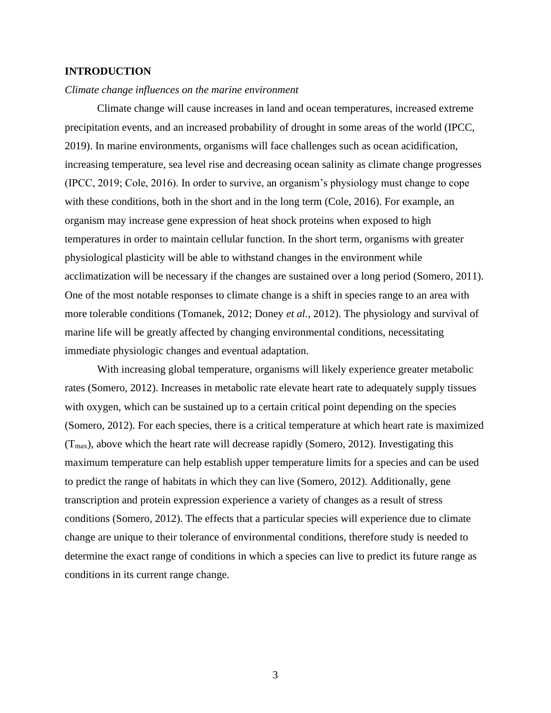### **INTRODUCTION**

#### *Climate change influences on the marine environment*

Climate change will cause increases in land and ocean temperatures, increased extreme precipitation events, and an increased probability of drought in some areas of the world (IPCC, 2019). In marine environments, organisms will face challenges such as ocean acidification, increasing temperature, sea level rise and decreasing ocean salinity as climate change progresses (IPCC, 2019; Cole, 2016). In order to survive, an organism's physiology must change to cope with these conditions, both in the short and in the long term (Cole, 2016). For example, an organism may increase gene expression of heat shock proteins when exposed to high temperatures in order to maintain cellular function. In the short term, organisms with greater physiological plasticity will be able to withstand changes in the environment while acclimatization will be necessary if the changes are sustained over a long period (Somero, 2011). One of the most notable responses to climate change is a shift in species range to an area with more tolerable conditions (Tomanek, 2012; Doney *et al.*, 2012). The physiology and survival of marine life will be greatly affected by changing environmental conditions, necessitating immediate physiologic changes and eventual adaptation.

With increasing global temperature, organisms will likely experience greater metabolic rates (Somero, 2012). Increases in metabolic rate elevate heart rate to adequately supply tissues with oxygen, which can be sustained up to a certain critical point depending on the species (Somero, 2012). For each species, there is a critical temperature at which heart rate is maximized  $(T<sub>max</sub>)$ , above which the heart rate will decrease rapidly (Somero, 2012). Investigating this maximum temperature can help establish upper temperature limits for a species and can be used to predict the range of habitats in which they can live (Somero, 2012). Additionally, gene transcription and protein expression experience a variety of changes as a result of stress conditions (Somero, 2012). The effects that a particular species will experience due to climate change are unique to their tolerance of environmental conditions, therefore study is needed to determine the exact range of conditions in which a species can live to predict its future range as conditions in its current range change.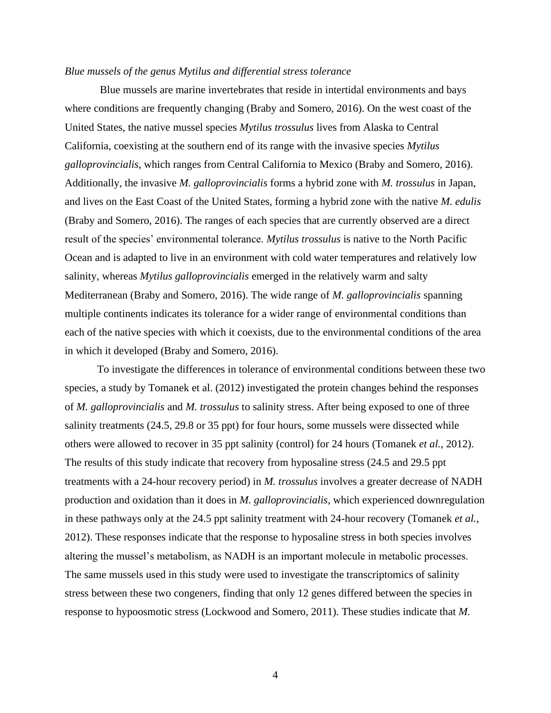#### *Blue mussels of the genus Mytilus and differential stress tolerance*

Blue mussels are marine invertebrates that reside in intertidal environments and bays where conditions are frequently changing (Braby and Somero, 2016). On the west coast of the United States, the native mussel species *Mytilus trossulus* lives from Alaska to Central California, coexisting at the southern end of its range with the invasive species *Mytilus galloprovincialis*, which ranges from Central California to Mexico (Braby and Somero, 2016). Additionally, the invasive *M. galloprovincialis* forms a hybrid zone with *M. trossulus* in Japan, and lives on the East Coast of the United States, forming a hybrid zone with the native *M. edulis* (Braby and Somero, 2016). The ranges of each species that are currently observed are a direct result of the species' environmental tolerance. *Mytilus trossulus* is native to the North Pacific Ocean and is adapted to live in an environment with cold water temperatures and relatively low salinity, whereas *Mytilus galloprovincialis* emerged in the relatively warm and salty Mediterranean (Braby and Somero, 2016). The wide range of *M. galloprovincialis* spanning multiple continents indicates its tolerance for a wider range of environmental conditions than each of the native species with which it coexists, due to the environmental conditions of the area in which it developed (Braby and Somero, 2016).

To investigate the differences in tolerance of environmental conditions between these two species, a study by Tomanek et al. (2012) investigated the protein changes behind the responses of *M. galloprovincialis* and *M. trossulus* to salinity stress. After being exposed to one of three salinity treatments (24.5, 29.8 or 35 ppt) for four hours, some mussels were dissected while others were allowed to recover in 35 ppt salinity (control) for 24 hours (Tomanek *et al.*, 2012). The results of this study indicate that recovery from hyposaline stress (24.5 and 29.5 ppt treatments with a 24-hour recovery period) in *M. trossulus* involves a greater decrease of NADH production and oxidation than it does in *M. galloprovincialis*, which experienced downregulation in these pathways only at the 24.5 ppt salinity treatment with 24-hour recovery (Tomanek *et al.*, 2012). These responses indicate that the response to hyposaline stress in both species involves altering the mussel's metabolism, as NADH is an important molecule in metabolic processes. The same mussels used in this study were used to investigate the transcriptomics of salinity stress between these two congeners, finding that only 12 genes differed between the species in response to hypoosmotic stress (Lockwood and Somero, 2011). These studies indicate that *M.*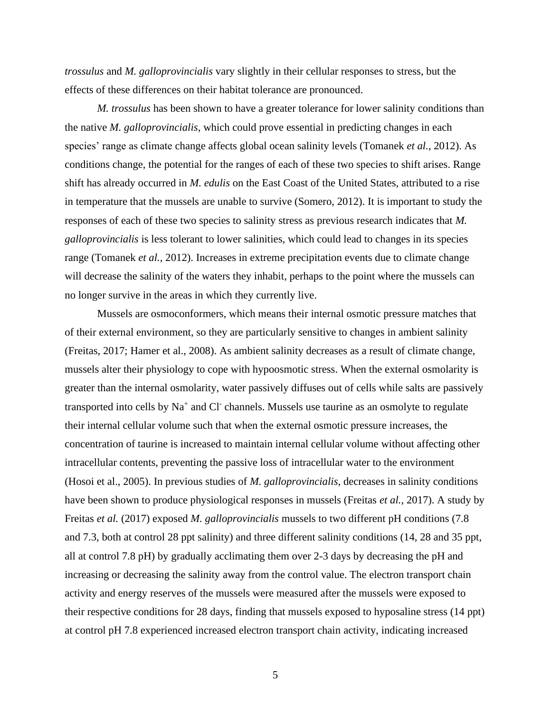*trossulus* and *M. galloprovincialis* vary slightly in their cellular responses to stress, but the effects of these differences on their habitat tolerance are pronounced.

*M. trossulus* has been shown to have a greater tolerance for lower salinity conditions than the native *M. galloprovincialis*, which could prove essential in predicting changes in each species' range as climate change affects global ocean salinity levels (Tomanek *et al.*, 2012). As conditions change, the potential for the ranges of each of these two species to shift arises. Range shift has already occurred in *M. edulis* on the East Coast of the United States, attributed to a rise in temperature that the mussels are unable to survive (Somero, 2012). It is important to study the responses of each of these two species to salinity stress as previous research indicates that *M. galloprovincialis* is less tolerant to lower salinities, which could lead to changes in its species range (Tomanek *et al.*, 2012). Increases in extreme precipitation events due to climate change will decrease the salinity of the waters they inhabit, perhaps to the point where the mussels can no longer survive in the areas in which they currently live.

Mussels are osmoconformers, which means their internal osmotic pressure matches that of their external environment, so they are particularly sensitive to changes in ambient salinity (Freitas, 2017; Hamer et al., 2008). As ambient salinity decreases as a result of climate change, mussels alter their physiology to cope with hypoosmotic stress. When the external osmolarity is greater than the internal osmolarity, water passively diffuses out of cells while salts are passively transported into cells by  $Na<sup>+</sup>$  and Cl<sup>-</sup> channels. Mussels use taurine as an osmolyte to regulate their internal cellular volume such that when the external osmotic pressure increases, the concentration of taurine is increased to maintain internal cellular volume without affecting other intracellular contents, preventing the passive loss of intracellular water to the environment (Hosoi et al., 2005). In previous studies of *M. galloprovincialis*, decreases in salinity conditions have been shown to produce physiological responses in mussels (Freitas *et al.*, 2017). A study by Freitas *et al.* (2017) exposed *M. galloprovincialis* mussels to two different pH conditions (7.8 and 7.3, both at control 28 ppt salinity) and three different salinity conditions (14, 28 and 35 ppt, all at control 7.8 pH) by gradually acclimating them over 2-3 days by decreasing the pH and increasing or decreasing the salinity away from the control value. The electron transport chain activity and energy reserves of the mussels were measured after the mussels were exposed to their respective conditions for 28 days, finding that mussels exposed to hyposaline stress (14 ppt) at control pH 7.8 experienced increased electron transport chain activity, indicating increased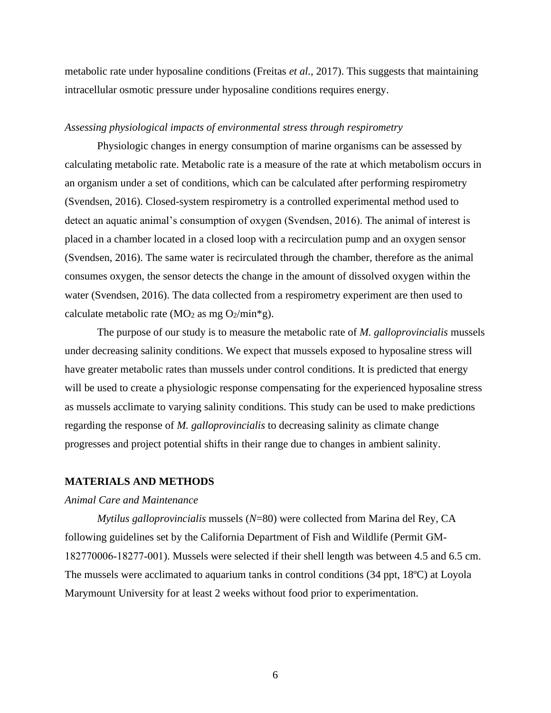metabolic rate under hyposaline conditions (Freitas *et al.*, 2017). This suggests that maintaining intracellular osmotic pressure under hyposaline conditions requires energy.

#### *Assessing physiological impacts of environmental stress through respirometry*

Physiologic changes in energy consumption of marine organisms can be assessed by calculating metabolic rate. Metabolic rate is a measure of the rate at which metabolism occurs in an organism under a set of conditions, which can be calculated after performing respirometry (Svendsen, 2016). Closed-system respirometry is a controlled experimental method used to detect an aquatic animal's consumption of oxygen (Svendsen, 2016). The animal of interest is placed in a chamber located in a closed loop with a recirculation pump and an oxygen sensor (Svendsen, 2016). The same water is recirculated through the chamber, therefore as the animal consumes oxygen, the sensor detects the change in the amount of dissolved oxygen within the water (Svendsen, 2016). The data collected from a respirometry experiment are then used to calculate metabolic rate (MO<sub>2</sub> as mg O<sub>2</sub>/min<sup>\*</sup>g).

The purpose of our study is to measure the metabolic rate of *M. galloprovincialis* mussels under decreasing salinity conditions. We expect that mussels exposed to hyposaline stress will have greater metabolic rates than mussels under control conditions. It is predicted that energy will be used to create a physiologic response compensating for the experienced hyposaline stress as mussels acclimate to varying salinity conditions. This study can be used to make predictions regarding the response of *M. galloprovincialis* to decreasing salinity as climate change progresses and project potential shifts in their range due to changes in ambient salinity.

#### **MATERIALS AND METHODS**

#### *Animal Care and Maintenance*

*Mytilus galloprovincialis* mussels (*N*=80) were collected from Marina del Rey, CA following guidelines set by the California Department of Fish and Wildlife (Permit GM‐ 182770006‐18277‐001). Mussels were selected if their shell length was between 4.5 and 6.5 cm. The mussels were acclimated to aquarium tanks in control conditions (34 ppt, 18ºC) at Loyola Marymount University for at least 2 weeks without food prior to experimentation.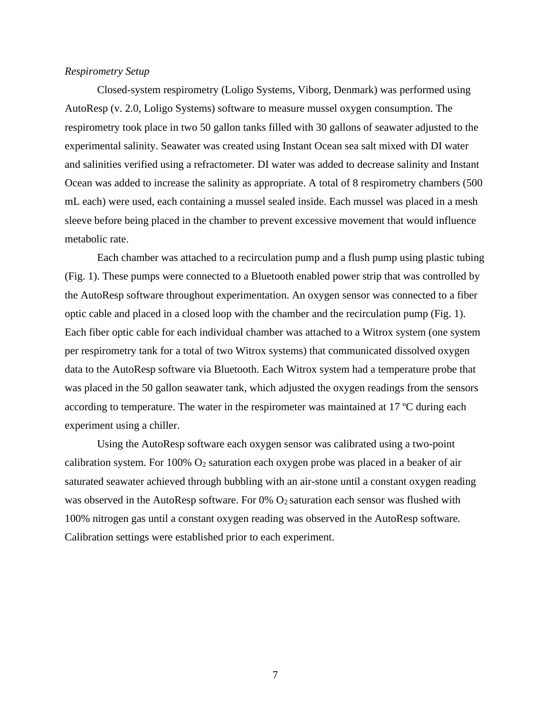#### *Respirometry Setup*

Closed-system respirometry (Loligo Systems, Viborg, Denmark) was performed using AutoResp (v. 2.0, Loligo Systems) software to measure mussel oxygen consumption. The respirometry took place in two 50 gallon tanks filled with 30 gallons of seawater adjusted to the experimental salinity. Seawater was created using Instant Ocean sea salt mixed with DI water and salinities verified using a refractometer. DI water was added to decrease salinity and Instant Ocean was added to increase the salinity as appropriate. A total of 8 respirometry chambers (500 mL each) were used, each containing a mussel sealed inside. Each mussel was placed in a mesh sleeve before being placed in the chamber to prevent excessive movement that would influence metabolic rate.

Each chamber was attached to a recirculation pump and a flush pump using plastic tubing (Fig. 1). These pumps were connected to a Bluetooth enabled power strip that was controlled by the AutoResp software throughout experimentation. An oxygen sensor was connected to a fiber optic cable and placed in a closed loop with the chamber and the recirculation pump (Fig. 1). Each fiber optic cable for each individual chamber was attached to a Witrox system (one system per respirometry tank for a total of two Witrox systems) that communicated dissolved oxygen data to the AutoResp software via Bluetooth. Each Witrox system had a temperature probe that was placed in the 50 gallon seawater tank, which adjusted the oxygen readings from the sensors according to temperature. The water in the respirometer was maintained at 17 ºC during each experiment using a chiller.

Using the AutoResp software each oxygen sensor was calibrated using a two-point calibration system. For 100%  $O_2$  saturation each oxygen probe was placed in a beaker of air saturated seawater achieved through bubbling with an air-stone until a constant oxygen reading was observed in the AutoResp software. For 0% O<sub>2</sub> saturation each sensor was flushed with 100% nitrogen gas until a constant oxygen reading was observed in the AutoResp software. Calibration settings were established prior to each experiment.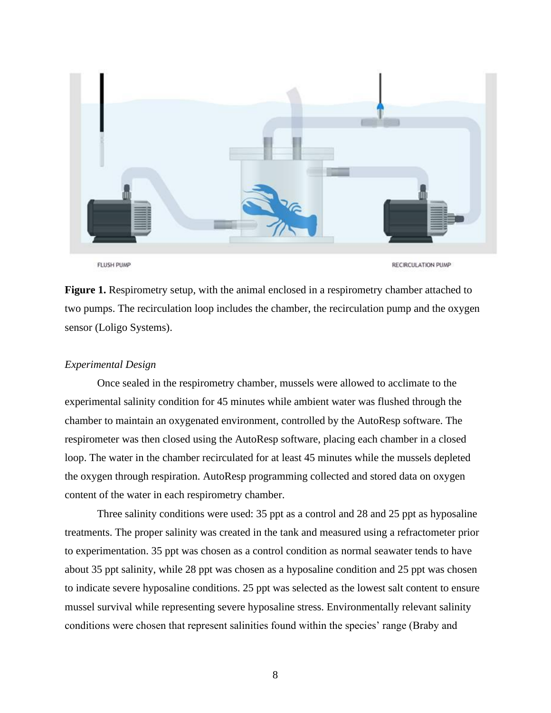

**FLUSH PUMP** 

RECIRCULATION PUMP

**Figure 1.** Respirometry setup, with the animal enclosed in a respirometry chamber attached to two pumps. The recirculation loop includes the chamber, the recirculation pump and the oxygen sensor (Loligo Systems).

#### *Experimental Design*

Once sealed in the respirometry chamber, mussels were allowed to acclimate to the experimental salinity condition for 45 minutes while ambient water was flushed through the chamber to maintain an oxygenated environment, controlled by the AutoResp software. The respirometer was then closed using the AutoResp software, placing each chamber in a closed loop. The water in the chamber recirculated for at least 45 minutes while the mussels depleted the oxygen through respiration. AutoResp programming collected and stored data on oxygen content of the water in each respirometry chamber.

Three salinity conditions were used: 35 ppt as a control and 28 and 25 ppt as hyposaline treatments. The proper salinity was created in the tank and measured using a refractometer prior to experimentation. 35 ppt was chosen as a control condition as normal seawater tends to have about 35 ppt salinity, while 28 ppt was chosen as a hyposaline condition and 25 ppt was chosen to indicate severe hyposaline conditions. 25 ppt was selected as the lowest salt content to ensure mussel survival while representing severe hyposaline stress. Environmentally relevant salinity conditions were chosen that represent salinities found within the species' range (Braby and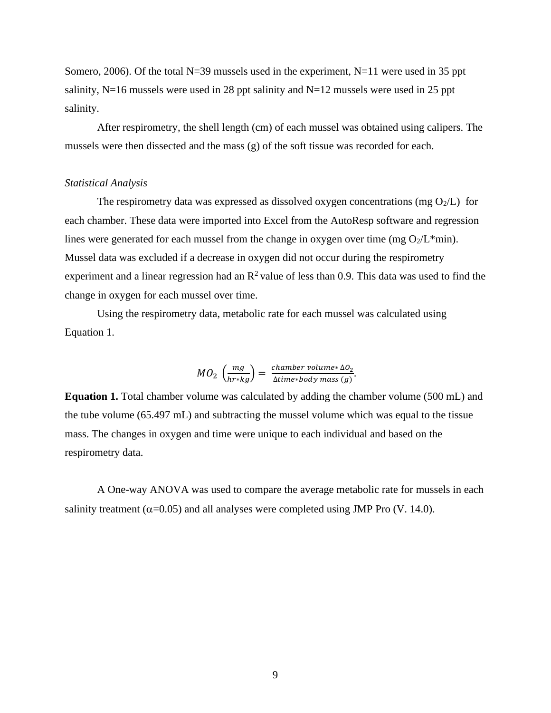Somero, 2006). Of the total N=39 mussels used in the experiment, N=11 were used in 35 ppt salinity,  $N=16$  mussels were used in 28 ppt salinity and  $N=12$  mussels were used in 25 ppt salinity.

After respirometry, the shell length (cm) of each mussel was obtained using calipers. The mussels were then dissected and the mass (g) of the soft tissue was recorded for each.

#### *Statistical Analysis*

The respirometry data was expressed as dissolved oxygen concentrations (mg  $O_2/L$ ) for each chamber. These data were imported into Excel from the AutoResp software and regression lines were generated for each mussel from the change in oxygen over time (mg  $O_2/L*$ min). Mussel data was excluded if a decrease in oxygen did not occur during the respirometry experiment and a linear regression had an  $R^2$  value of less than 0.9. This data was used to find the change in oxygen for each mussel over time.

Using the respirometry data, metabolic rate for each mussel was calculated using Equation 1.

$$
MO_{2}\left(\frac{mg}{hr\ast kg}\right)=\frac{chamber\,volume\ast \Delta O_{2}}{\Delta time\ast body\,mass\,(g)}.
$$

**Equation 1.** Total chamber volume was calculated by adding the chamber volume (500 mL) and the tube volume (65.497 mL) and subtracting the mussel volume which was equal to the tissue mass. The changes in oxygen and time were unique to each individual and based on the respirometry data.

A One-way ANOVA was used to compare the average metabolic rate for mussels in each salinity treatment ( $\alpha$ =0.05) and all analyses were completed using JMP Pro (V. 14.0).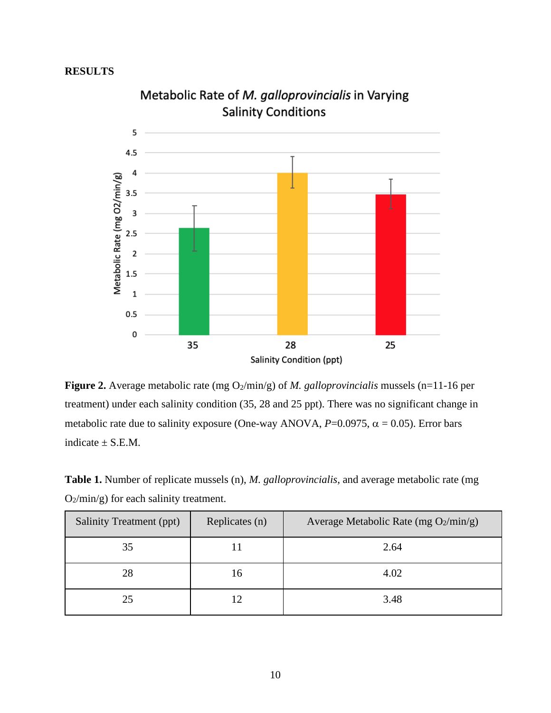## **RESULTS**



Metabolic Rate of M. galloprovincialis in Varying **Salinity Conditions** 

**Figure 2.** Average metabolic rate (mg O<sub>2</sub>/min/g) of *M. galloprovincialis* mussels (n=11-16 per treatment) under each salinity condition (35, 28 and 25 ppt). There was no significant change in metabolic rate due to salinity exposure (One-way ANOVA,  $P=0.0975$ ,  $\alpha = 0.05$ ). Error bars indicate  $\pm$  S.E.M.

**Table 1.** Number of replicate mussels (n), *M. galloprovincialis*, and average metabolic rate (mg O2/min/g) for each salinity treatment.

| Salinity Treatment (ppt) | Replicates (n) | Average Metabolic Rate (mg $O_2/min/g$ ) |
|--------------------------|----------------|------------------------------------------|
| 35                       |                | 2.64                                     |
| 28                       | 16             | 4.02                                     |
| 25                       |                | 3.48                                     |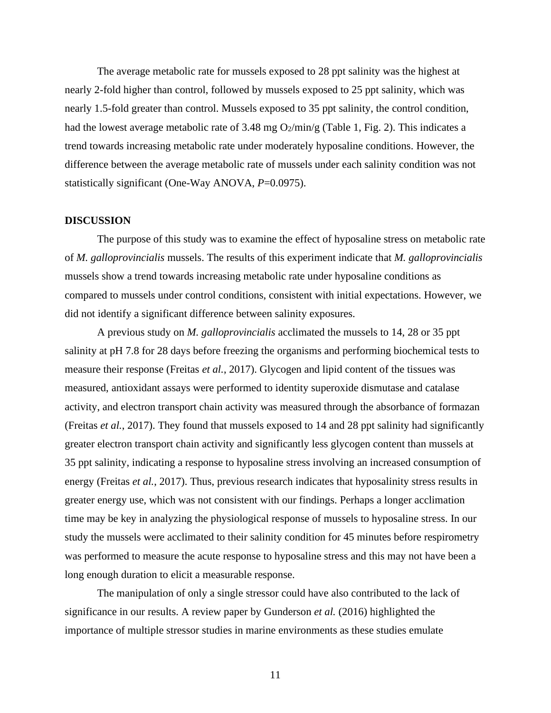The average metabolic rate for mussels exposed to 28 ppt salinity was the highest at nearly 2-fold higher than control, followed by mussels exposed to 25 ppt salinity, which was nearly 1.5-fold greater than control. Mussels exposed to 35 ppt salinity, the control condition, had the lowest average metabolic rate of 3.48 mg  $O_2/\text{min/g}$  (Table 1, Fig. 2). This indicates a trend towards increasing metabolic rate under moderately hyposaline conditions. However, the difference between the average metabolic rate of mussels under each salinity condition was not statistically significant (One-Way ANOVA, *P*=0.0975).

#### **DISCUSSION**

The purpose of this study was to examine the effect of hyposaline stress on metabolic rate of *M. galloprovincialis* mussels. The results of this experiment indicate that *M. galloprovincialis* mussels show a trend towards increasing metabolic rate under hyposaline conditions as compared to mussels under control conditions, consistent with initial expectations. However, we did not identify a significant difference between salinity exposures.

A previous study on *M. galloprovincialis* acclimated the mussels to 14, 28 or 35 ppt salinity at pH 7.8 for 28 days before freezing the organisms and performing biochemical tests to measure their response (Freitas *et al.*, 2017). Glycogen and lipid content of the tissues was measured, antioxidant assays were performed to identity superoxide dismutase and catalase activity, and electron transport chain activity was measured through the absorbance of formazan (Freitas *et al.*, 2017). They found that mussels exposed to 14 and 28 ppt salinity had significantly greater electron transport chain activity and significantly less glycogen content than mussels at 35 ppt salinity, indicating a response to hyposaline stress involving an increased consumption of energy (Freitas *et al.*, 2017). Thus, previous research indicates that hyposalinity stress results in greater energy use, which was not consistent with our findings. Perhaps a longer acclimation time may be key in analyzing the physiological response of mussels to hyposaline stress. In our study the mussels were acclimated to their salinity condition for 45 minutes before respirometry was performed to measure the acute response to hyposaline stress and this may not have been a long enough duration to elicit a measurable response.

The manipulation of only a single stressor could have also contributed to the lack of significance in our results. A review paper by Gunderson *et al.* (2016) highlighted the importance of multiple stressor studies in marine environments as these studies emulate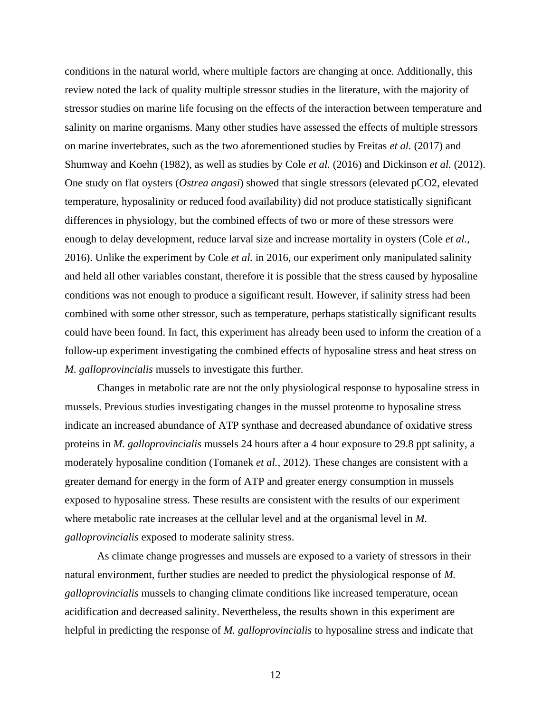conditions in the natural world, where multiple factors are changing at once. Additionally, this review noted the lack of quality multiple stressor studies in the literature, with the majority of stressor studies on marine life focusing on the effects of the interaction between temperature and salinity on marine organisms. Many other studies have assessed the effects of multiple stressors on marine invertebrates, such as the two aforementioned studies by Freitas *et al.* (2017) and Shumway and Koehn (1982), as well as studies by Cole *et al.* (2016) and Dickinson *et al.* (2012). One study on flat oysters (*Ostrea angasi*) showed that single stressors (elevated pCO2, elevated temperature, hyposalinity or reduced food availability) did not produce statistically significant differences in physiology, but the combined effects of two or more of these stressors were enough to delay development, reduce larval size and increase mortality in oysters (Cole *et al.*, 2016). Unlike the experiment by Cole *et al.* in 2016, our experiment only manipulated salinity and held all other variables constant, therefore it is possible that the stress caused by hyposaline conditions was not enough to produce a significant result. However, if salinity stress had been combined with some other stressor, such as temperature, perhaps statistically significant results could have been found. In fact, this experiment has already been used to inform the creation of a follow-up experiment investigating the combined effects of hyposaline stress and heat stress on *M. galloprovincialis* mussels to investigate this further.

Changes in metabolic rate are not the only physiological response to hyposaline stress in mussels. Previous studies investigating changes in the mussel proteome to hyposaline stress indicate an increased abundance of ATP synthase and decreased abundance of oxidative stress proteins in *M. galloprovincialis* mussels 24 hours after a 4 hour exposure to 29.8 ppt salinity, a moderately hyposaline condition (Tomanek *et al.*, 2012). These changes are consistent with a greater demand for energy in the form of ATP and greater energy consumption in mussels exposed to hyposaline stress. These results are consistent with the results of our experiment where metabolic rate increases at the cellular level and at the organismal level in *M. galloprovincialis* exposed to moderate salinity stress.

As climate change progresses and mussels are exposed to a variety of stressors in their natural environment, further studies are needed to predict the physiological response of *M. galloprovincialis* mussels to changing climate conditions like increased temperature, ocean acidification and decreased salinity. Nevertheless, the results shown in this experiment are helpful in predicting the response of *M. galloprovincialis* to hyposaline stress and indicate that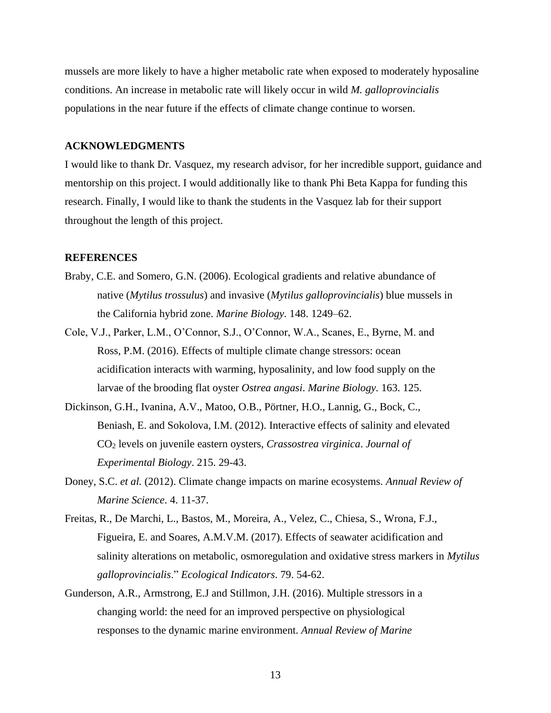mussels are more likely to have a higher metabolic rate when exposed to moderately hyposaline conditions. An increase in metabolic rate will likely occur in wild *M. galloprovincialis* populations in the near future if the effects of climate change continue to worsen.

#### **ACKNOWLEDGMENTS**

I would like to thank Dr. Vasquez, my research advisor, for her incredible support, guidance and mentorship on this project. I would additionally like to thank Phi Beta Kappa for funding this research. Finally, I would like to thank the students in the Vasquez lab for their support throughout the length of this project.

#### **REFERENCES**

- Braby, C.E. and Somero, G.N. (2006). Ecological gradients and relative abundance of native (*Mytilus trossulus*) and invasive (*Mytilus galloprovincialis*) blue mussels in the California hybrid zone. *Marine Biology.* 148. 1249–62.
- Cole, V.J., Parker, L.M., O'Connor, S.J., O'Connor, W.A., Scanes, E., Byrne, M. and Ross, P.M. (2016). Effects of multiple climate change stressors: ocean acidification interacts with warming, hyposalinity, and low food supply on the larvae of the brooding flat oyster *Ostrea angasi*. *Marine Biology.* 163. 125.
- Dickinson, G.H., Ivanina, A.V., Matoo, O.B., Pörtner, H.O., Lannig, G., Bock, C., Beniash, E. and Sokolova, I.M. (2012). Interactive effects of salinity and elevated CO<sup>2</sup> levels on juvenile eastern oysters, *Crassostrea virginica*. *Journal of Experimental Biology*. 215. 29-43.
- Doney, S.C. *et al.* (2012). Climate change impacts on marine ecosystems. *Annual Review of Marine Science*. 4. 11-37.
- Freitas, R., De Marchi, L., Bastos, M., Moreira, A., Velez, C., Chiesa, S., Wrona, F.J., Figueira, E. and Soares, A.M.V.M. (2017). Effects of seawater acidification and salinity alterations on metabolic, osmoregulation and oxidative stress markers in *Mytilus galloprovincialis*." *Ecological Indicators*. 79. 54-62.
- Gunderson, A.R., Armstrong, E.J and Stillmon, J.H. (2016). Multiple stressors in a changing world: the need for an improved perspective on physiological responses to the dynamic marine environment. *Annual Review of Marine*